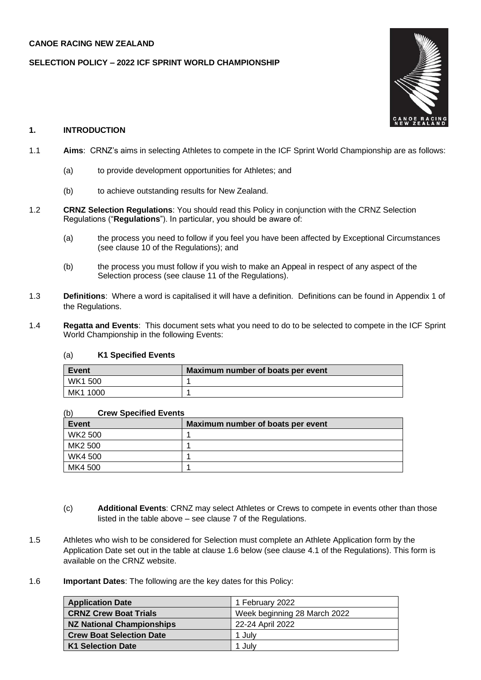### **CANOE RACING NEW ZEALAND**

### **SELECTION POLICY – 2022 ICF SPRINT WORLD CHAMPIONSHIP**



# **1. INTRODUCTION**

- 1.1 **Aims**: CRNZ's aims in selecting Athletes to compete in the ICF Sprint World Championship are as follows:
	- (a) to provide development opportunities for Athletes; and
	- (b) to achieve outstanding results for New Zealand.
- 1.2 **CRNZ Selection Regulations**: You should read this Policy in conjunction with the CRNZ Selection Regulations ("**Regulations**"). In particular, you should be aware of:
	- (a) the process you need to follow if you feel you have been affected by Exceptional Circumstances (see clause 10 of the Regulations); and
	- (b) the process you must follow if you wish to make an Appeal in respect of any aspect of the Selection process (see clause 11 of the Regulations).
- 1.3 **Definitions**: Where a word is capitalised it will have a definition. Definitions can be found in Appendix 1 of the Regulations.
- 1.4 **Regatta and Events**: This document sets what you need to do to be selected to compete in the ICF Sprint World Championship in the following Events:

#### (a) **K1 Specified Events**

| Event          | Maximum number of boats per event |
|----------------|-----------------------------------|
| <b>WK1 500</b> |                                   |
| MK1 1000       |                                   |

#### (b) **Crew Specified Events**

| Event   | Maximum number of boats per event |
|---------|-----------------------------------|
| WK2 500 |                                   |
| MK2 500 |                                   |
| WK4 500 |                                   |
| MK4 500 |                                   |

- (c) **Additional Events**: CRNZ may select Athletes or Crews to compete in events other than those listed in the table above – see clause 7 of the Regulations.
- 1.5 Athletes who wish to be considered for Selection must complete an Athlete Application form by the Application Date set out in the table at clause 1.6 below (see clause 4.1 of the Regulations). This form is available on the CRNZ website.
- 1.6 **Important Dates**: The following are the key dates for this Policy:

| <b>Application Date</b>         | 1 February 2022              |
|---------------------------------|------------------------------|
| <b>CRNZ Crew Boat Trials</b>    | Week beginning 28 March 2022 |
| NZ National Championships       | 22-24 April 2022             |
| <b>Crew Boat Selection Date</b> | 1 Julv                       |
| <b>K1 Selection Date</b>        | 1 Julv                       |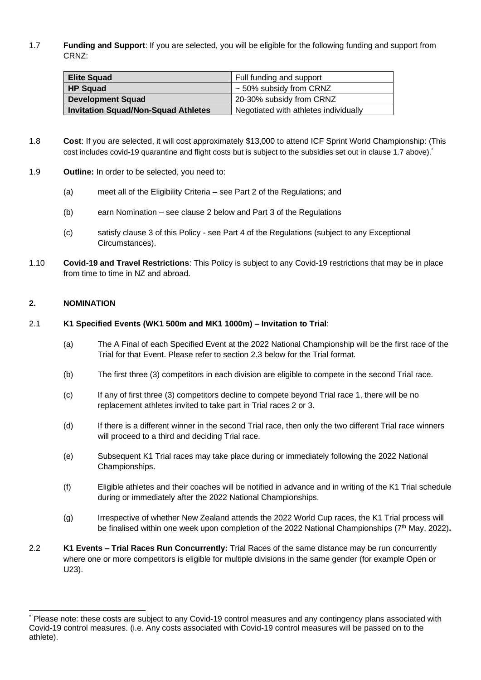1.7 **Funding and Support**: If you are selected, you will be eligible for the following funding and support from CRNZ:

| <b>Elite Squad</b>                         | Full funding and support              |
|--------------------------------------------|---------------------------------------|
| <b>HP Squad</b>                            | $\sim$ 50% subsidy from CRNZ          |
| <b>Development Squad</b>                   | 20-30% subsidy from CRNZ              |
| <b>Invitation Squad/Non-Squad Athletes</b> | Negotiated with athletes individually |

- 1.8 **Cost**: If you are selected, it will cost approximately \$13,000 to attend ICF Sprint World Championship: (This cost includes covid-19 quarantine and flight costs but is subject to the subsidies set out in clause 1.7 above).\*
- 1.9 **Outline:** In order to be selected, you need to:
	- (a) meet all of the Eligibility Criteria see Part 2 of the Regulations; and
	- (b) earn Nomination see clause 2 below and Part 3 of the Regulations
	- (c) satisfy clause 3 of this Policy see Part 4 of the Regulations (subject to any Exceptional Circumstances).
- 1.10 **Covid-19 and Travel Restrictions**: This Policy is subject to any Covid-19 restrictions that may be in place from time to time in NZ and abroad.

# **2. NOMINATION**

### 2.1 **K1 Specified Events (WK1 500m and MK1 1000m) – Invitation to Trial**:

- (a) The A Final of each Specified Event at the 2022 National Championship will be the first race of the Trial for that Event. Please refer to section 2.3 below for the Trial format.
- (b) The first three (3) competitors in each division are eligible to compete in the second Trial race.
- (c) If any of first three (3) competitors decline to compete beyond Trial race 1, there will be no replacement athletes invited to take part in Trial races 2 or 3.
- (d) If there is a different winner in the second Trial race, then only the two different Trial race winners will proceed to a third and deciding Trial race.
- (e) Subsequent K1 Trial races may take place during or immediately following the 2022 National Championships.
- (f) Eligible athletes and their coaches will be notified in advance and in writing of the K1 Trial schedule during or immediately after the 2022 National Championships.
- (g) Irrespective of whether New Zealand attends the 2022 World Cup races, the K1 Trial process will be finalised within one week upon completion of the 2022 National Championships (7th May, 2022)**.**
- 2.2 **K1 Events – Trial Races Run Concurrently:** Trial Races of the same distance may be run concurrently where one or more competitors is eligible for multiple divisions in the same gender (for example Open or U23).

<sup>\*</sup> Please note: these costs are subject to any Covid-19 control measures and any contingency plans associated with Covid-19 control measures. (i.e. Any costs associated with Covid-19 control measures will be passed on to the athlete).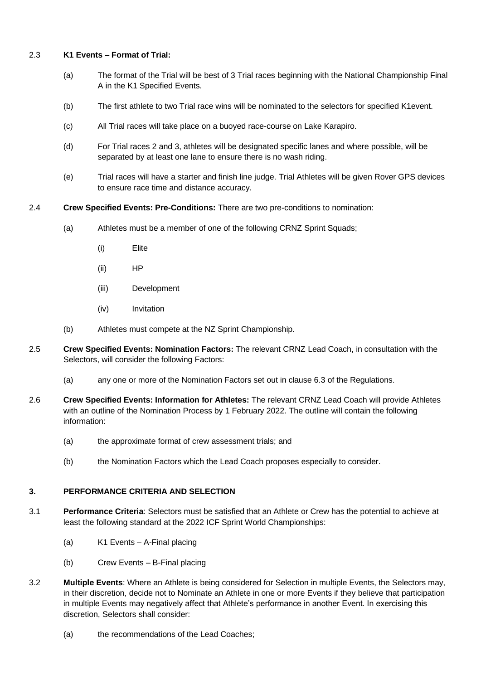### 2.3 **K1 Events – Format of Trial:**

- (a) The format of the Trial will be best of 3 Trial races beginning with the National Championship Final A in the K1 Specified Events.
- (b) The first athlete to two Trial race wins will be nominated to the selectors for specified K1event.
- (c) All Trial races will take place on a buoyed race-course on Lake Karapiro.
- (d) For Trial races 2 and 3, athletes will be designated specific lanes and where possible, will be separated by at least one lane to ensure there is no wash riding.
- (e) Trial races will have a starter and finish line judge. Trial Athletes will be given Rover GPS devices to ensure race time and distance accuracy.
- 2.4 **Crew Specified Events: Pre-Conditions:** There are two pre-conditions to nomination:
	- (a) Athletes must be a member of one of the following CRNZ Sprint Squads:
		- (i) Elite
		- (ii) HP
		- (iii) Development
		- (iv) Invitation
	- (b) Athletes must compete at the NZ Sprint Championship.
- 2.5 **Crew Specified Events: Nomination Factors:** The relevant CRNZ Lead Coach, in consultation with the Selectors, will consider the following Factors:
	- (a) any one or more of the Nomination Factors set out in clause 6.3 of the Regulations.
- 2.6 **Crew Specified Events: Information for Athletes:** The relevant CRNZ Lead Coach will provide Athletes with an outline of the Nomination Process by 1 February 2022. The outline will contain the following information:
	- (a) the approximate format of crew assessment trials; and
	- (b) the Nomination Factors which the Lead Coach proposes especially to consider.

# **3. PERFORMANCE CRITERIA AND SELECTION**

- 3.1 **Performance Criteria**: Selectors must be satisfied that an Athlete or Crew has the potential to achieve at least the following standard at the 2022 ICF Sprint World Championships:
	- (a) K1 Events A-Final placing
	- (b) Crew Events B-Final placing
- 3.2 **Multiple Events**: Where an Athlete is being considered for Selection in multiple Events, the Selectors may, in their discretion, decide not to Nominate an Athlete in one or more Events if they believe that participation in multiple Events may negatively affect that Athlete's performance in another Event. In exercising this discretion, Selectors shall consider:
	- (a) the recommendations of the Lead Coaches;